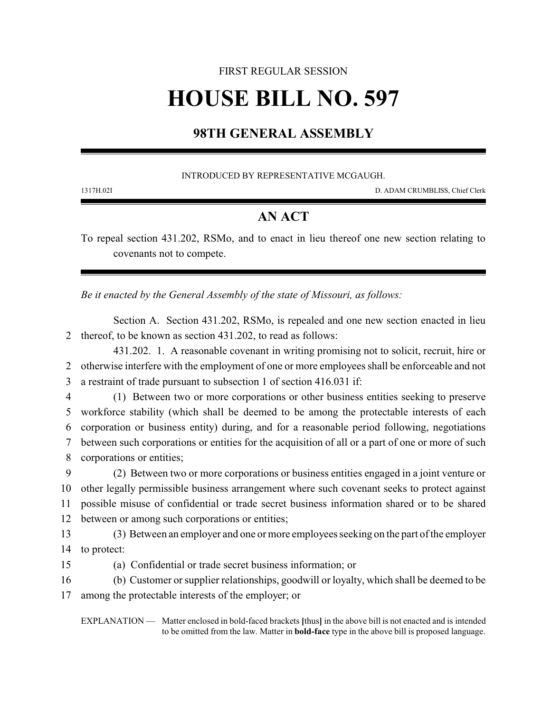# FIRST REGULAR SESSION **HOUSE BILL NO. 597**

## **98TH GENERAL ASSEMBLY**

#### INTRODUCED BY REPRESENTATIVE MCGAUGH.

1317H.02I D. ADAM CRUMBLISS, Chief Clerk

### **AN ACT**

To repeal section 431.202, RSMo, and to enact in lieu thereof one new section relating to covenants not to compete.

*Be it enacted by the General Assembly of the state of Missouri, as follows:*

Section A. Section 431.202, RSMo, is repealed and one new section enacted in lieu 2 thereof, to be known as section 431.202, to read as follows:

431.202. 1. A reasonable covenant in writing promising not to solicit, recruit, hire or 2 otherwise interfere with the employment of one or more employees shall be enforceable and not 3 a restraint of trade pursuant to subsection 1 of section 416.031 if:

 (1) Between two or more corporations or other business entities seeking to preserve workforce stability (which shall be deemed to be among the protectable interests of each corporation or business entity) during, and for a reasonable period following, negotiations between such corporations or entities for the acquisition of all or a part of one or more of such corporations or entities;

 (2) Between two or more corporations or business entities engaged in a joint venture or other legally permissible business arrangement where such covenant seeks to protect against possible misuse of confidential or trade secret business information shared or to be shared between or among such corporations or entities;

13 (3) Between an employer and one or more employees seeking on the part of the employer 14 to protect:

15 (a) Confidential or trade secret business information; or

16 (b) Customer or supplier relationships, goodwill or loyalty, which shall be deemed to be

17 among the protectable interests of the employer; or

EXPLANATION — Matter enclosed in bold-faced brackets **[**thus**]** in the above bill is not enacted and is intended to be omitted from the law. Matter in **bold-face** type in the above bill is proposed language.